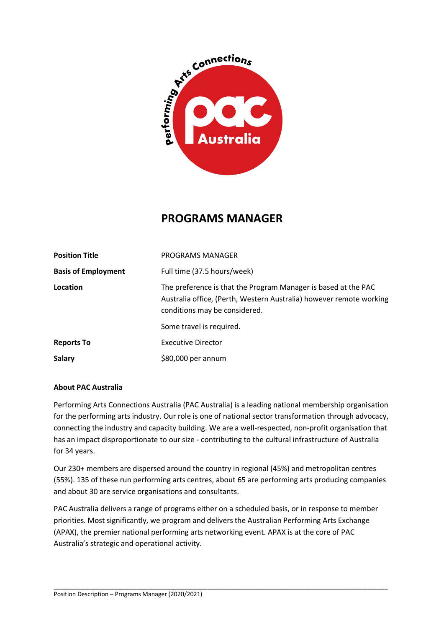

# **PROGRAMS MANAGER**

| <b>Position Title</b>      | PROGRAMS MANAGER                                                                                                                                                       |
|----------------------------|------------------------------------------------------------------------------------------------------------------------------------------------------------------------|
| <b>Basis of Employment</b> | Full time (37.5 hours/week)                                                                                                                                            |
| Location                   | The preference is that the Program Manager is based at the PAC<br>Australia office, (Perth, Western Australia) however remote working<br>conditions may be considered. |
|                            | Some travel is required.                                                                                                                                               |
| <b>Reports To</b>          | <b>Executive Director</b>                                                                                                                                              |
| <b>Salary</b>              | \$80,000 per annum                                                                                                                                                     |

## **About PAC Australia**

Performing Arts Connections Australia (PAC Australia) is a leading national membership organisation for the performing arts industry. Our role is one of national sector transformation through advocacy, connecting the industry and capacity building. We are a well-respected, non-profit organisation that has an impact disproportionate to our size - contributing to the cultural infrastructure of Australia for 34 years.

Our 230+ members are dispersed around the country in regional (45%) and metropolitan centres (55%). 135 of these run performing arts centres, about 65 are performing arts producing companies and about 30 are service organisations and consultants.

PAC Australia delivers a range of programs either on a scheduled basis, or in response to member priorities. Most significantly, we program and delivers the Australian Performing Arts Exchange (APAX), the premier national performing arts networking event. APAX is at the core of PAC Australia's strategic and operational activity.

\_\_\_\_\_\_\_\_\_\_\_\_\_\_\_\_\_\_\_\_\_\_\_\_\_\_\_\_\_\_\_\_\_\_\_\_\_\_\_\_\_\_\_\_\_\_\_\_\_\_\_\_\_\_\_\_\_\_\_\_\_\_\_\_\_\_\_\_\_\_\_\_\_\_\_\_\_\_\_\_\_\_\_\_\_\_\_\_\_\_\_\_\_\_\_\_\_\_\_\_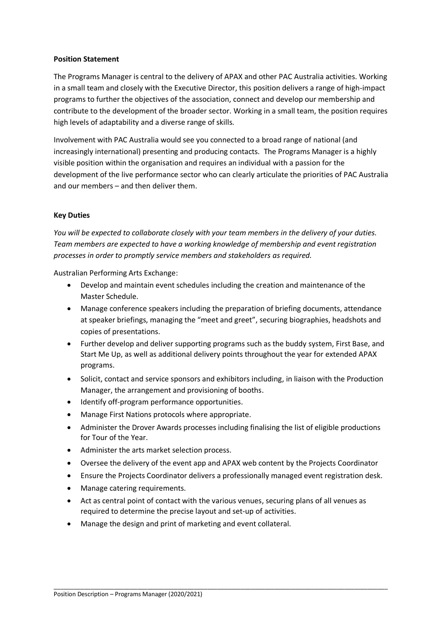### **Position Statement**

The Programs Manager is central to the delivery of APAX and other PAC Australia activities. Working in a small team and closely with the Executive Director, this position delivers a range of high-impact programs to further the objectives of the association, connect and develop our membership and contribute to the development of the broader sector. Working in a small team, the position requires high levels of adaptability and a diverse range of skills.

Involvement with PAC Australia would see you connected to a broad range of national (and increasingly international) presenting and producing contacts. The Programs Manager is a highly visible position within the organisation and requires an individual with a passion for the development of the live performance sector who can clearly articulate the priorities of PAC Australia and our members – and then deliver them.

## **Key Duties**

*You will be expected to collaborate closely with your team members in the delivery of your duties. Team members are expected to have a working knowledge of membership and event registration processes in order to promptly service members and stakeholders as required.*

Australian Performing Arts Exchange:

- Develop and maintain event schedules including the creation and maintenance of the Master Schedule.
- Manage conference speakers including the preparation of briefing documents, attendance at speaker briefings, managing the "meet and greet", securing biographies, headshots and copies of presentations.
- Further develop and deliver supporting programs such as the buddy system, First Base, and Start Me Up, as well as additional delivery points throughout the year for extended APAX programs.
- Solicit, contact and service sponsors and exhibitors including, in liaison with the Production Manager, the arrangement and provisioning of booths.
- Identify off-program performance opportunities.
- Manage First Nations protocols where appropriate.
- Administer the Drover Awards processes including finalising the list of eligible productions for Tour of the Year.
- Administer the arts market selection process.
- Oversee the delivery of the event app and APAX web content by the Projects Coordinator
- Ensure the Projects Coordinator delivers a professionally managed event registration desk.
- Manage catering requirements.
- Act as central point of contact with the various venues, securing plans of all venues as required to determine the precise layout and set-up of activities.

\_\_\_\_\_\_\_\_\_\_\_\_\_\_\_\_\_\_\_\_\_\_\_\_\_\_\_\_\_\_\_\_\_\_\_\_\_\_\_\_\_\_\_\_\_\_\_\_\_\_\_\_\_\_\_\_\_\_\_\_\_\_\_\_\_\_\_\_\_\_\_\_\_\_\_\_\_\_\_\_\_\_\_\_\_\_\_\_\_\_\_\_\_\_\_\_\_\_\_\_

• Manage the design and print of marketing and event collateral.